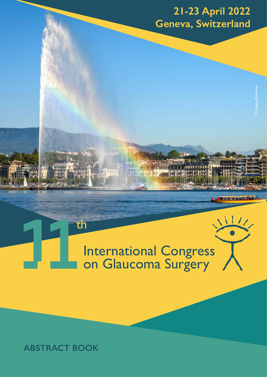# **21-23 April 2022 Geneva, Switzerland**

© GenèveTourisme

International Congress on Glaucoma Surgery

# **ABSTRACT BOOK**

th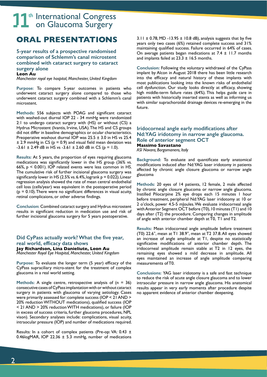# **ORAL PRESENTATIONS**

**5-year results of a prospective randomised comparison of Schlemm's canal microstent combined with cataract surgery to cataract surgery alone Leon Au**

*Manchester royal eye hospital, Manchester, United Kingdom*

**Purpose:** To compare 5-year outcomes in patients who underwent cataract surgery alone compared to those who underwent cataract surgery combined with a Schlemm's canal microstent.

**Methods:** 556 subjects with POAG and significant cataract with washed-out diurnal IOP 22 - 34 mmHg were randomized 2:1 to undergo cataract surgery with (HS) or without (CS) a Hydrus Microstent (Ivantis, Irvine, USA). The HS and CS groups did not differ in baseline demographics or ocular characteristics. Preoperative washout diurnal IOP was 25.5 ± 3.0 in HS vs 25.4  $\pm$  2.9 mmHg in CS ( $p = 0.9$ ) and visual field mean deviation was  $-3.61 \pm 2.49$  dB in HS vs  $-3.61 \pm 2.60$  dB in CS (p = 1.0).

**Results:** At 5 years, the proportion of eyes requiring glaucoma medications was significantly lower in the HS group (36% vs. 66%, p < 0.001). IOP related events were less common in HS. The cumulative risk of further incisional glaucoma surgery was significantly lower in HS (2.5% vs. 6.4%, logrank  $p = 0.022$ ). Linear regression analysis showed the rate of mean central endothelial cell loss (cells/year) was equivalent in the postoperative period  $(p = 0.10)$ . There were no significant differences in visual acuity, retinal complicaions, or other adverse findings.

**Conclusion:** Combined cataract surgery and Hydrus microstent results in significant reduction in medication use and risk of further incisional glaucoma surgery for 5 years postoperative.

# **Did CyPass actually work? What the five year, real world, efficacy data shows**

**Jay Richardson, Lina Danieliute, Leon Au** *Manchester Royal Eye Hospital, Manchester, United Kingdom*

**Purpose:** To evaluate the longer term (5 year) efficacy of the CyPass supraciliary micro-stent for the treatment of complex glaucoma in a real world setting.

**Methods:** A single centre, retrospective analysis of (n = 36) consecutive cases of CyPass implantation with or without cataract surgery in patients with glaucoma of varying aetiology. Cases were primarily assessed for: complete success (IOP < 21 AND > 20% reduction WITHOUT medications), qualified success (IOP < 21 AND > 20% reduction WITH medications), or failure (IOP in excess of success criteria, further glaucoma procedures, NPL vison). Secondary analyses include: complications, visual acuity, intraocular pressure (IOP) and number of medications required.

Results: In a cohort of complex patients (Pre-op: VA: 0.43 ± 0.46logMAR, IOP 22.36  $\pm$  5.3 mmHg, number of medications

 $3.11 \pm 0.78$ , MD -13.95  $\pm$  10.8 dB), analysis suggests that by five years only two cases (6%) retained complete success and 31% maintaining qualified success. Failure occurred in 64% of cases. On average patients began medications at  $7.4 \pm 11.7$  months and implants failed at  $23.3 \pm 16.5$  months.

**Conclusion:** Following the voluntary withdrawal of the CyPass implant by Alcon in August 2018 there has been little research into the efficacy and natural history of these implants with most publications looking into the known risks of endothelial cell dysfunction. Our study looks directly at efficacy, showing high middle-term failure rates (64%). This helps guide care in patients with historically inserted stents as well as informing us with similar suprachoroidal drainage devices re-emerging in the future.

## **Iridocorneal angle early modifications after Nd:YAG iridotomy in narrow angle glaucoma. Role of anterior segment OCT Massimo Savastano**

*ASl Novara, Borgomanero, Italy*

**Background:** To evaluate and quantificate early anatomical modifications induced after Nd:YAG laser iridotomy in patients affected by chronic angle closure glaucoma or narrow angle glaucoma

**Methods:** 20 eyes of 14 patients, 12 female, 2 male affected by chronic angle closure glaucoma or narrow angle glaucoma. Instilled Pilocarpine 2% eye drops each 15 minutes 1 hour before treatment, peripheral Nd:YAG laser iridotomy at 10 or 2 o'clock, power 4.5-5 mJoules. We evaluate iridocorneal angle with Anterior Segment OCT before (T0), 10 minutes (T1) and 10 days after (T2) the procedure. Comparing changes in amplitude of angle with anterior chamber depth at T0, T1 and T2.

**Results:** Mean iridocorneal angle amplitude before treatment (T0) 22.6°, mean at T1 38.9°, mean at T2 37.8. All eyes showed an increase of angle amplitude at T1, despite no statistically significative modifications of anterior chamber depth. The iridocorneal amplitude remain stable at T2 in 12 eyes, the remaining eyes showed a mild decrease in amplitude. All eyes maintained an increase of angle amplitude comparing measurements of T0.

**Conclusions:** YAG laser iridotomy is a safe and fast technique to reduce the risk of acute angle closure glaucoma and to lower intraocular pressure in narrow angle glaucoma. His anatomical results appear in very early moments after procedure despite no apparent evidence of anterior chamber deepening.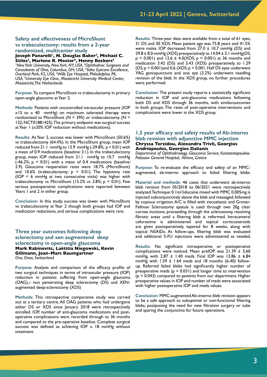## **Safety and effectiveness of MicroShunt vs trabeculectomy: results from a 2-year randomized, multicenter study**

Joseph Panarelli<sup>1</sup>, N. Douglas Baker<sup>2</sup>, Michael C.

**Stiles3, Marlene R. Moster4, Henny Beckers5** *1 New York University, New York, NY, USA, 2 Ophthalmic Surgeons and Consultants of Ohio, Columbus, OH, USA, 3 Stiles Eyecare Excellence, Overland Park, KS, USA, 4 Wills Eye Hospital, Philadelphia, PA, USA, 5 University Eye Clinic, Maastricht University Medical Center, Maastricht, The Netherlands*

**Purpose:** To compare MicroShunt vs trabeculectomy in primary open-angle glaucoma at Year 2.

**Methods:** Patients with uncontrolled intraocular pressure (IOP ≥15 to ≤ 40 mmHg) on maximum tolerated therapy were randomized to MicroShunt ( $N = 395$ ) or trabeculectomy ( $N =$ 132; NCT01881425). The primary endpoint was surgical success at Year 1 (≥20% IOP reduction without medications).

**Results:** At Year 2, success was lower with MicroShunt (50.6%) vs trabeculectomy (64.4%). In the MicroShunt group, mean IOP reduced from 21.1 mmHg to 13.9 mmHg  $(-29.8\%; p < 0.01)$  with a mean of 0.9 medications (baseline: 3.1). In the trabeculectomy group, mean IOP reduced from 21.1 mmHg to 10.7 mmHg (-46.2%;  $p < 0.01$ ) with a mean of 0.4 medications (baseline: 2.9). Glaucoma reoperation rates were 18.7% (MicroShunt) and 10.6% (trabeculectomy;  $p = 0.01$ ). The hypotony rate (IOP < 6 mmHg at two consecutive visits) was higher with trabeculectomy vs MicroShunt (15.2% vs  $3.8\%$ ; p < 0.01). Few serious postoperative complications were reported between Years 1 and 2 in either group.

**Conclusion:** In this study, success was lower with MicroShunt vs trabeculectomy at Year 2 though both groups had IOP and medication reductions, and serious complications were rare.

**Three year outcomes following deep sclerectomy and xen augmentend deep sclerectomy in open-angle glaucoma Mark Rabinovitc, Laëtitia Niegowski, Kevin Gillmann, Jean-Marc Baumgartner** *Ono, Onex, Switzerland*

**Purpose:** Analysis and comparison of the efficacy profile of two surgical techniques in terms of intraocular pressure (IOP) reduction in patients suffering from open-angle glaucoma (OAG),-: non penetrating deep sclerectomy (DS) and XENaugmented deep-sclerectomy (XDS)

**Methods:** This retrospective comparative study was carried out at a tertiary centre. All OAG patients who had undergone either DS or XDS since January 2018 were retrospectively enrolled. IOP, number of anti-glaucoma medications and postoperative complications were recorded through to 36 months and compared to the pre-operative baseline. Complete surgical success was defined as achieving  $IOP \leq 18$  mmHg without treatment.

**Results:** Three-year data were available from a total of 61 eyes, 31 DS and 30 XDS. Mean patient age was 75.8 years and 41.5% were males. IOP decreased from  $27.0 \pm 10.7$  mmHg (DS) and  $29.8 \pm 8.0$  mmHg (XDS) preoperatively to  $14.04 \pm 3.1$  mmHg(DS;  $p$  < 0.001) and 12.6  $\pm$  4.0(XDS;  $p$  < 0.001) at 36 months and medication 3.42 (DS) and 3.43 (XDS) preoperatively, to 1.29  $(DS; p \le 0.001)$  and 0.6 (XDS;  $p \le 0.001$ . Half DS eyes underwent YAG goniopuncture and one eye (3.2%) underwent needling revision of the bleb. In the XDS group, no further procedures were performed.

**Conclusion:** The present study reports a statistically significant reduction in IOP and anti-glaucoma medications following both DS and XDS through 36 months, with similaroutcomes in both groups. The rates of post-operative interventions and complications were lower in the XDS group.

## **1,5 year efficacy and safety results of Ab-interno bleb revision with adjunctive MMC injection Chryssa Terzidou, Alexandra Trivli, Georgios Andriopoulos, Georgios Dalianis**

*Department of Ophthalmology, Glaucoma Service, Konstantopouleio-Patission General Hospital, Athens, Greece*

**Purpose:** To re-evaluate the efficacy and safety of an MMCaugmented, ab-interno approach to failed filtering blebs.

**Material and methods:** 46 cases that underwent ab-interno bleb revision from 05/2018 to 06/2021 were retrospectively analyzed. Technique: 0.1ml lidocaine mixed with MMC 0.005mg is injected subconjunctivaly above the bleb and massaged, followed by copious irrigation. A/C is filled with viscoelastic and Grover-Fellman Sclerostomy spatula is used through two 20g clear cornea incisions, proceeding through the sclerostomy, resolving fibrotic areas until a filtering bleb is reformed. Intracameral cefuroxime is administered and topical corticosteroids are given postoperatively, tapered for 8 weeks, along with topical NSAIDs. At follow-ups, filtering bleb was evaluated and additional 5-FU injections were administered as needed.

**Results:** No significant intraoperative or postoperative complications were noticed. Mean preIOP was 21.39 ± 5.60 mmHg, with  $2.87 \pm 1.40$  meds. Final IOP was 13.86  $\pm$  6.84 mmHg with  $1.59 \pm 1.64$  meds and 18 months (6-40) followup. Referred failed blebs had significantly higher number of preoperative meds ( $p = 0.031$ ) and longer time to intervention  $(p = 0.043)$  compared to patients from our department. Higher preoperative values in IOP and number of meds were associated with higher postoperative IOP and meds values.

**Conclusion:** MMC-augmented Ab-interno bleb revision appears to be a safe approach to suboptimal or non-functional filtering blebs, postponing the need for new filtration surgery or tube and sparing the conjunctiva for future operations.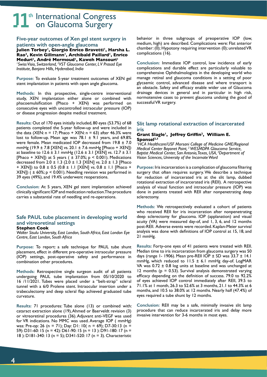## **Five-year outcomes of Xen gel stent surgery in patients with open-angle glaucoma**

Julien Torbey<sup>1</sup>, Giorgio Enrico Bravetti<sup>1</sup>, Harsha L. Rao<sup>2</sup>, Kevin Gillmann<sup>1</sup>, Archibald Paillard<sup>1</sup>, Enrico Meduri<sup>1</sup>, André Mermoud<sup>1</sup>, Kaweh Mansouri<sup>1</sup> <sup>1</sup> Swiss Visio, Switzerland, <sup>2</sup>VST Glaucoma Center, LV Prasad Eye *Institute, Banjara Hills, Hyderabad, India*

**Purpose:** To evaluate 5-year treatment outcomes of XEN gel stent implantation in patients with open angle glaucoma.

**Methods:** In this prospective, single-centre interventional study, XEN implantation either alone or combined with phacoemulsification (Phaco + XEN) was performed on consecutive eyes with uncontrolled intraocular pressure (IOP) or disease progression despite medical treatment.

**Results:** Out of 170 eyes initially included, 80 eyes (53.7%) of 68 patients completed the 5-year follow-up and were included in the data (XEN:  $n = 17$ ; Phaco + XEN:  $n = 63$ ) after 46.3% were lost to follow-up. Mean age was  $78.1 \pm 9.1$  years, and 69.8% were female. Mean medicated IOP decreased from 19.8 ± 7.0 mmHg (19.9 ± 7.8 [XEN] vs. 20.1 ± 7.6 mmHg [Phaco + XEN]) at baseline to  $12.6 \pm 3.1$  mmHg ( $12.6 \pm 3.1$  [XEN] vs.  $12.7 \pm 3.1$ [Phaco + XEN]) at 5 years ( $\pm$  37.0%; p < 0.001). Medications decreased from 2.0 ± 1.3 (2.0 ± 1.3 [XEN] vs. 2.0 ± 1.3 [Phaco + XEN]) to 0.8 ± 0.5 (0.8 ± 1.1 [XEN] vs. 0.8 ± 1.1 [Phaco + XEN])  $(1 + 60\%; p < 0.001)$ . Needling revision was performed in 39 eyes (49%), and 19.4% underwent reoperations.

**Conclusion:** At 5 years, XEN gel stent implantation achieved clinically significant IOP and medication reduction. The procedure carries a substantial rate of needling and re-operations.

# **Safe PAUL tube placement in developing world and vitreoretinal settings**

#### **Stephen Cook**

*Walter Sisulu University, East London, South Africa, East London Eye Centre, East London, South Africa*

**Purpose:** To report: a safe technique for PAUL tube shunt placement, effect in different pre-operative intraocular pressure (IOP) settings, post-operative safety and performance in combination other procedures.

**Methods:** Retrospective single surgeon audit of all patients undergoing PAUL tube implantation from 05/10/2020 to 16 /11/2021. Tubes were placed under a "belt-strap" scleral tunnel with a 6/0 Prolene stent. Intraocular insertion under a trabeculectomy and deep scleral flap achieved graduated tube curvature.

**Results:** 71 procedures: Tube alone (13) or combined with: cataract extraction alone (19), Ahmed or Baerveldt revision (3) or vitreoretinal procedures (36). Adjuvant anti-VEGF was used for VR indications. No MMC was used. Average IOP ( mmHg) was: Pre-op: 26 (n = 71); Day: D1: 10( n = 69); D7-30:13 (n = 59): D31-60: 15 (n = 42): D61-90: 15 (n = 13 ): D91-180: 17 (n = 18 ): D181-340: 13 (n = 5); D341-520: 17 (n = 3). Characteristic

behavior in three subgroups of preoperative IOP (low, medium, high) are described. Complications were: Flat anterior chamber: (0); Hypotony requiring intervention (0); unrelated VR complications (16).

**Conclusion:** Immediate IOP control, low incidence of early complications and durable effect are particularly valuable to comprehensive Ophthalmologists in the developing world who manage retinal and glaucoma conditions in a setting of poor glycaemic control, advanced disease and where transport is an obstacle. Safety and efficacy enable wider use of Glaucoma drainage devices in general and in particular in high risk, normotensive cases to prevent glaucoma undoing the good of successful VR surgery.

## **Slit lamp rotational extraction of incarcerated iris**

#### **Grant Slagle1, Jeffrey Griffin2, William E.**  Sponsel<sup>2,3</sup>

*1 HCA Healthcare/USF Morsani College of Medicine GME/Regional Medical Center Bayonet Point, 2 WESMDPA Glaucoma Service, Baptist Medical Center, San Antonio, Texas, USA, 3 Department of Vision Sciences, University of the Incarnate Word*

**Purpose:** Iris incarceration is a complication of glaucoma filtering surgery that often requires surgery. We describe a technique for reduction of incarcerated iris at the slit lamp, dubbed rotational extraction of incarcerated iris (REII). A retrospective analysis of visual function and intraocular pressure (IOP) was done in patients treated with REII after nonpenetrating deep sclerectomy.

**Methods:** We retrospectively evaluated a cohort of patients who received REII for iris incarceration after nonpenetrating deep sclerectomy for glaucoma. IOP (applanation) and visual acuity (VA) were measured day-of, and 1, 3, 6, and 12 months post-REII. Adverse events were recorded. Kaplan-Meier survival analysis was done with definitions of IOP control at 15, 18, and 21 mmHg.

**Results:** Forty-one eyes of 41 patients were treated with REII. Median time to iris incarceration from glaucoma surgery was 50 days (range 1- 1906). Mean pre-REII IOP  $\pm$  SD was 33.7  $\pm$  14.1 mmHg, which reduced to 11.5 ± 6.1 mmHg day-of. LogMAR VA was  $0.72 \pm 0.8$  log units at baseline and was unchanged at 12 months  $(p = 0.53)$ . Survival analysis demonstrated varying efficacy depending on the definition of success. 79.0 to 92.2% of eyes achieved IOP control immediately after REII, 39.5 to 71.1% at 1 month, 26.3 to 52.6% at 3 months, 21.1 to 44.3% at 6 months, and 10.5 to 38.0% at 12 months. Nearly half (47.4%) of eyes required a tube shunt by 12 months.

**Conclusion:** REII may be a safe, minimally invasive slit lamp procedure that can reduce incarcerated iris and delay more invasive intervention for 3-6 months in most eyes.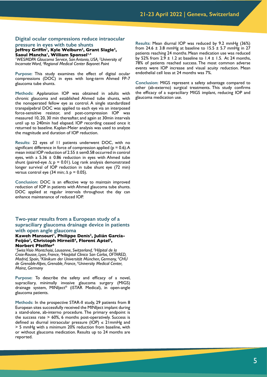#### **Digital ocular compressions reduce intraocular pressure in eyes with tube shunts**

Jeffrey Griffin<sup>1</sup>, Kyle Welburn<sup>2</sup>, Grant Slagle<sup>3</sup>, Saoul Mancha<sup>1</sup>, William Sponsel<sup>1,2</sup>

<sup>1</sup>WESMDPA Glaucoma Service, San Antonio, USA, <sup>2</sup>University of *Incarnate Word, 3 Regional Medical Center Bayonet Point*

**Purpose:** This study examines the effect of digital ocular compressions (DOC) in eyes with long-term Ahmed FP-7 glaucoma tube shunts.

**Methods:** Applanation IOP was obtained in adults with chronic glaucoma and established Ahmed tube shunts, with the nonoperated fellow eye as control. A single standardized transpalpebral DOC was applied to each eye via an interposed force-sensitive resistor, and post-compression IOP was measured 10, 20, 30 min thereafter, and again at 30min intervals until up to 240min had elapsed. IOP recording ceased once it returned to baseline. Kaplan-Meier analysis was used to analyze the magnitude and duration of IOP reduction.

**Results:** 22 eyes of 11 patients underwent DOC, with no significant difference in force of compression applied ( $p = 0.6$ ). A mean initial IOP reduction of 2.55 ± sem0.58 occurred in control eyes, with a 5.36  $\pm$  0.86 reduction in eyes with Ahmed tube shunt (paired-eye  $\Delta$ ; p = 0.01). Log rank analysis demonstrated longer survival of IOP reduction in tube shunt eye (72 min) versus control eye (34 min;  $\Delta$  p = 0.05).

**Conclusion:** DOC is an effective way to maintain improved reduction of IOP in patients with Ahmed glaucoma tube shunts. DOC applied at regular intervals throughout the day can enhance maintenance of reduced IOP.

## **Two-year results from a European study of a supraciliary glaucoma drainage device in patients with open angle glaucoma**

#### Kaweh Mansouri<sup>1</sup>, Philippe Denis<sup>2</sup>, Julián García-**Feijóo3, Christoph Hirneiß4, Florent Aptel5, Norbert Pfeiffer6**

*1 Swiss Visio Montchoisi, Lausanne, Switzerland, 2 Hôpital de la Croix-Rousse, Lyon, France, 3 Hospital Clinico San Carlos, OFTARED, Madrid, Spain, 4 Klinikum der Universität München, Germany, 5 CHU de Grenoble-Alpes, Grenoble, France, 6 University Medical Center, Mainz, Germany*

**Purpose:** To describe the safety and efficacy of a novel, supraciliary, minimally invasive glaucoma surgery (MIGS) drainage system, MINIject® (iSTAR Medical), in open-angle glaucoma patients.

**Methods:** In the prospective STAR-II study, 29 patients from 8 European sites successfully received the MINIject implant during a stand-alone, ab-interno procedure. The primary endpoint is the success rate  $> 60\%$ , 6 months post-operatively. Success is defined as diurnal intraocular pressure (IOP)  $\leq$  21mmHg and > 5 mmHg with a minimum 20% reduction from baseline, with or without glaucoma medication. Results up to 24 months are reported.

**Results:** Mean diurnal IOP was reduced by 9.2 mmHg (36%) from 24.6  $\pm$  3.8 mmHg at baseline to 15.5  $\pm$  5.7 mmHg in 27 patients reaching 24 months. Mean medication use was reduced by 52% from 2.9  $\pm$  1.2 at baseline to 1.4  $\pm$  1.5. At 24 months, 78% of patients reached success. The most common adverse events were IOP increase and visual acuity reduction. Mean endothelial cell loss at 24 months was 7%.

**Conclusion:** MIGS represent a safety advantage compared to other (ab-externo) surgical treatments. This study confirms the efficacy of a supraciliary MIGS implant, reducing IOP and glaucoma medication use.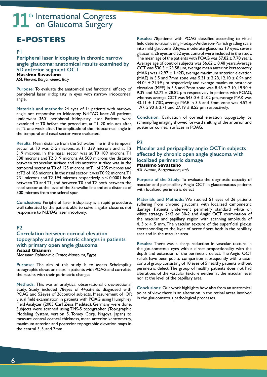# **E-POSTERS**

## **P1**

**Peripheral laser iridoplasty in chronic narrow angle glaucoma: anatomical results examined by SD anterior segment OCT Massimo Savastano** *ASL Novara, Borgomanero, Italy*

**Purpose:** To evaluate the anatomical and functional efficacy of peripheral laser iridoplasty in eyes with narrow iridocorneal angle.

**Materials and methods:** 24 eyes of 14 patients with narrowangle not responsive to iridotomy Nd:YAG laser. All patients underwent 360° peripheral iridoplasty laser. Patients were examined at T0 before the procedure, at T1, 20 minutes after, at T2 one week after. The amplitude of the iridocorneal angle in the temporal and nasal sector were evaluated.

**Results:** Mean distance from the Schwalbe line in the temporal sector at T0 was 215 microns, at T1 339 microns and at T2 319 microns. In the nasal sector was at T0 189 microns, T1 338 microns and T2 319 microns. At 500 microns the distance between trabecular surface and iris anterior surface was in the temporal sector at T0 of 125 microns, at T1 of 205 microns and at T2 of 185 microns. In the nasal sector it was T0 92 microns, T1 231 microns and T2 194 microns respectively. p < 0.0001 both between T0 and T1, and between T0 and T2 both between the nasal sector at the level of the Schwalbe line and at a distance of 500 microns from the scleral spur.

**Conclusions:** Peripheral laser iridoplasty is a rapid procedure, well tolerated by the patient, able to solve angular closures not responsive to Nd:YAG laser iridotomy.

# **P2**

**Correlation between corneal elevation topography and perimetric changes in patients with primary open angle glaucoma Asaad Ghanem** *Mansoura Ophthalmic Center, Mansoura, Egypt*

**Purpose:** The aim of this study is to assess Scheimpflug topographic elevation maps in patients with POAG and correlate the results with their perimetric changes

**Methods:** This was an analytical observational cross-sectional study. Study included 78eyes of 44patients diagnosed with POAG and 52eyes of 26control subjects. Measurement of IOP, visual field examination in patients with POAG using Humphrey Field Analyzer (2003 Carl Zeiss Meditec), Germany were done. Subjects were scanned using TMS-5 topographer (Topographic Modeling System, version 5. Tomey Corp. Nagoya, Japan) to measure central corneal thickness, mean anterior keratometry, maximum anterior and posterior topographic elevation maps in the central 3, 5, and 7mm.

**Results:** 78patients with POAG classified according to visual field deterioration using Hodapp-Anderson-Parrish grading scale into mild glaucoma 33eyes, moderate glaucoma 19 eyes, severe glaucoma 26 eyes, and 52 eyes control were included in the study. The mean age of the patients with POAG was  $57.82 \pm 7.78$  years. Average age of control subjects was  $56.62 \pm 8.48$  years. Average CCT was 530.3 ± 23.58 µm, average mean anterior keratometry (MAK) was  $42.97 \pm 1.42D$ , average maximum anterior elevation (MAE) in 3,5 and 7mm zone was  $5.31 \pm 2.28$ , 12.10  $\pm$  6.94 and 44.04 ± 21.99 µm respectively and average maximum posterior elevation (MPE) in 3,5 and 7mm zone was 8.46  $\pm$  2.10, 19.90  $\pm$ 9.39 and  $62.72 \pm 28.82$  µm respectively in patients with POAG, whereas average CCT was  $543.0 \pm 31.02$  µm, average MAK was 43.11  $\pm$  1.73D, average MAE in 3,5 and 7mm zone was 4.52  $\pm$ 1.97, 5.90  $\pm$  2.71 and 27.19  $\pm$  8.55 µm respectively.

**Conclusion:** Evaluation of corneal elevation topography by scheimpflug imaging showed forward shifting of the anterior and posterior corneal surfaces in POAG.

# **P3**

**Macular and peripapillay angio OCTin subjects affected by chronic open angle glaucoma with localized perimetric damage Massimo Savastano**

*ASL Novara, Borgomanero, Italy*

**Purpose of the Study:** To evaluate the diagnostic capacity of macular and peripapillary Angio OCT in glaucomatous patients with localized perimetric defect

**Materials and Methods:** We studied 51 eyes of 26 patients suffering from chronic glaucoma with localized campimetric damage. Patients underwent perimetry standard white on white strategy 24/2 or 30-2 and Angio OCT examination of the macular and papillary region with scanning amplitude of 4.  $5 \times 4$ .  $5 \text{ mm}$ . The vascular texture of the superficial plexus corresponding to the layer of nerve fibers both in the papillary area and in the macular area.

**Results:** There was a sharp reduction in vascular texture in the glaucomatous eyes with a direct proportionality with the depth and extension of the perimetric defect. The Angio OCT reliefs have been put to comparison subsequently with a casecontrol group consisting of 10 eyes of 5 healthy patients without perimetric defect. The group of healthy patients does not had alterations of the vascular texture neither at the macular level nor at the level of the papillary area.

**Conclusions:** Our work highlights how, also from an anatomical point of view, there is an alteration in the retinal areas involved in the glaucomatous pathological processes.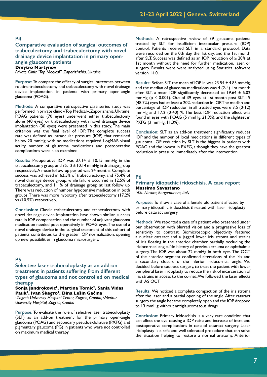### **Comparative evaluation of surgical outcomes of trabeculectomy and trabeculectomy with novel drainage device implantation in primary openangle glaucoma patients Dmytro Martynov** *Private Clinic "Top Medical", Zaporizhzhia, Ukraine*

**Purpose:** To compare the efficacy of surgical outcomes between routine trabeculectomy and trabeculectomy with novel drainage device implantation in patients with primary open-angle glaucoma (POAG).

**Methods:** A comparative retrospective case series study was performed in private clinic «Top Medical», Zaporizhzhia, Ukraine. POAG patients (70 eyes) underwent either trabeculectomy alone (40 eyes) or trabeculectomy with novel drainage device implantation (30 eyes) were presented in this study. The main criterion was the final level of IOP. The complete success rate was defined as intraocular pressure (IOP) that remained below 20 mmHg, with no medications required. LogMAR visual acuity, number of glaucoma medications and postoperative complications were also examined.

**Results:** Preoperative IOP was 37.14 ± 10.15 mmHg in the trabeculectomy group and  $35.12 \pm 10.14$  mmHg in drainage group respectively. A mean follow-up period was 24 months. Complete success was achieved in 62.5% of trabeculectomy, and 75.4% of novel drainage device group; while failure occurred in 12.5% of trabeculectomy, and 11 % of drainage group at last follow up. There was reduction of number hypotensive medication in both groups. There was more hypotony after trabeculectomy (17.2% vs (10.5%) respectively.

**Conclusion:** Classic trabeculectomy and trabeculectomy with novel drainage device implantation have shown similar success rate in IOP compensation and the number of adjuvant glaucoma medication needed post-operatively in POAG eyes. The use of a novel drainage device in the surgical treatment of this cohort of patients contributes to the greater IOP normalization, opening up new possibilities in glaucoma microsurgery.

## **P5**

**Selective laser trabeculoplasty as an add-on treatment in patients suffering from different types of glaucoma and not controlled on medical therapy**

Sonja Jandrokovic<sup>1</sup>, Martina Tomic<sup>2</sup>, Sania Vidas **Pauk1, Ivan Škegro1, Dina Lešin Gaćina<sup>1</sup>** *1 Zagreb University Hospital Center, Zagreb, Croatia, 2 Merkur University Hospital, Zagreb, Croatia*

**Purpose:** To evaluate the role of selective laser trabeculoplasty (SLT) as an add-on treatment for the primary open-angle glaucoma (POAG) and secondary pseudoexfoliative (PXFG) and pigmentary glaucoma (PG) in patients who were not controlled on maximum medical therapy

**Methods:** A retrospective review of 39 glaucoma patients treated by SLT for insufficient intraocular pressure (IOP) control. Patients received SLT in a standard protocol. Data were recorded on the 0th day, the 1st day, and the 1st month after SLT. Success was defined as an IOP reduction of  $\geq 20\%$  at 1st month without the need for further medication, laser, or surgery. Results were were analyzed using Statistica software version 14.0.

**Results:** Before SLT, the mean of IOP in was 23.54 ± 4.83 mmHg, and the median of glaucoma medications was 4 (2-4). 1st month after SLT, a mean IOP significantly decreased to  $19.64 \pm 5.02$ mmHg (p < 0.001). Out of 39 eyes, at 1st-month post-SLT, 19 (48.7%) eyes had at least a 20% reduction in IOP. The median and percentage of IOP reduction in all treated eyes were 3.5 (0-12) mmHg and 17.2 (0-40) %. The best IOP reduction effect was found in eyes with POAG (5 mmHg, 21.9%), and the slightest in PXFG (3 mmHg, 11.3%).

**Conclusion:** SLT as an add-on treatment significantly reduces IOP and the number of local medications in different types of glaucoma. IOP reduction by SLT is the biggest in patients with POAG and the lowest in PXFG, although they have the greatest reduction in pressure immediately after the intervention.

#### **P6**

#### **Primary idiopathic iridoschisis. A case report Massimo Savastano** *1 ASL Novara, Borgomanero, Italy*

**Purpose:** To show a case of a female old patient affected by primary idiopathic iridoschisis threated with laser iridoplasty before cataract surgery

**Methods:** We reported a case of a patient who presented under our observation with blurred vision and a progressive loss of sensitivity to contrast. Biomicroscopic objectivity featured a nuclear cataract and a jagged lower iris stroma and strains of iris floating in the anterior chamber partially occluding the iridocorneal angle. No history of previous trauma or ophthalmic surgery. The IOP was about 22 mmHg in both eyes. The OCT of the anterior segment confirmed alterations of the iris and a secondary closure of the inferior iridocorneal angle. We decided, before cataract surgery, to treat the patient with lower peripheral laser iridoplasty to reduce the risk of incarceration of iris strains in access to the cornea. We followed the laser effects with AS OCT

**Results:** We noticed a complete compaction of the iris stroma after the laser and a partial opening of the angle. After cataract surgery the angle became completely open and the IOP dropped to 13 mmHg without antiglaucomatous drugs

**Conclusion:** Primary iridoschisis is a very rare condition that can affect the eye causing a IOP raise and increase of intra and postoperative complications in case of cataract surgery. Laser iridoplasty is a safe and well tolerated procedure that can solve the situation helping to restore a normal anatomy. Anterior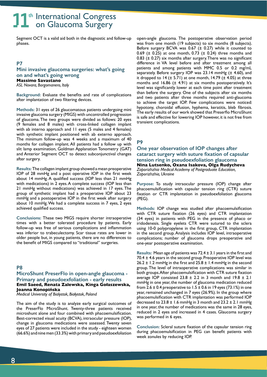Segment OCT is a valid aid both in the diagnostic and follow-up phases.

## **P7**

# **Mini invasive glaucoma surgeries: what's going on and what's going wrong Massimo Savastano**

*ASL Novara, Borgomanero, Italy*

**Background:** Evaluate the benefits and rate of complications after implantation of two filtering devices.

**Methods:** 31 eyes of 26 glaucomatous patients undergoing mini invasive glaucoma surgery (MIGS) with uncontrolled progression of glaucoma. The two groups were divided as follows: 20 eyes (9 females and 8 males) with cross-linked collagen implant with ab interno approach and 11 eyes (5 males and 4 females) with synthetic implant positioned with ab externo approach. The minimum follow-up was 4 weeks and a maximum of 40 months for collagen implant. All patients had a follow up with slit lamp examination, Goldman Applanation Tonometry (GAT) and Anterior Segment OCT to detect subconjunctival changes after surgery.

**Results:** The collagen implant group showed a mean preoperative IOP of 28 mmHg and a post operative IOP in the first week about 14 mmHg. A qualified success (IOP less than 21 mmHg with medications) in 2 eyes. A complete success (IOP less than 21 mmHg without medications) was achieved in 17 eyes. The group of synthetic implant had a preoperative IOP about 23 mmHg and a postoperative IOP in the first week after surgery about 10 mmHg. We had a complete success in 7 eyes, 2 eyes achieved qualified success.

**Conclusions:** These two MIGS require shorter intraoperative times with a better tolerated procedure by patients. Early follow-up was free of serious complications and inflammation was inferior to trabeculectomy. Scar tissue rates are lower in older people but, in young patients, there are no differences to the benefit of MIGS compared to "traditional" surgeries.

## **P8**

## **MicroShunt PreserFlo in open-angle glaucoma - Primary and pseudoexfoliation - early results Emil Saeed, Renata Zalewska, Kinga Gołaszewska, Joanna Konopińska**

*Medical University of Bialystok, Białystok, Poland*

The aim of the study is to analyze early surgical outcomes of the PreserFlo MicroShunt. Twenty-three patients received microshunt alone and four combined with phacoemulsification. Best-corrected visual acuity (BCVA), intraocular pressure (IOP), change in glaucoma medications were assessed. Twenty seven eyes of 27 patients were included in the study - eighteen women (66.6%) and nine men (33.3%) with primary and pseudoexfoliation

open-angle glaucoma. The postoperative observation period was from one month (19 subjects) to six months (8 subjects). Before surgery BCVA was  $0.67$  ( $\pm$  0.27) while it counted to 0.69 ( $\pm$  0.25) at one month, 0.73 ( $\pm$  0.24) three months and 0.83  $(± 0.27)$  six months after surgery. There was no significant difference in VA level before and after treatment among all patients and among patients with MMC 0.5 or 0.2 mg/mL separately. Before surgery IOP was 23.14 mmHg (± 4.60), and it dropped to  $14$  ( $\pm$  5.71) at one month, 14.79 ( $\pm$  4.05) at three months and  $16.86$  ( $\pm$  4.91) at six months postoperatively. It's level was significantly lower at each time point after treatment than before the surgery. One of the subjects after six months and two patients after three months required anti-glaucoma to achieve the target IOP. Few complications were noticed: hypotony, choroidal effusion, hyphema, keratitis, bleb fibrosis. The early results of our work showed that Preserflo MicroShunt is safe and effective for lowering IOP however, it is not free from transient complications.

# **P9**

**One year observation of IOP changes after cataract surgery with suture fixation of capsular tension ring in pseudoexfoliation glaucoma Nina Lutsenko, Oxana Isakova, Olga Rudycheva** *Zaporizhzhia Medical Academy of Postgraduate Education, Zaporizhzhia, Ukraine*

**Purpose:** To study intraocular pressure (IOP) change after phacoemulsification with capsular tension ring (CTR) suture fixation or CTR implantation in pseudoexfoliation glaucoma (PEG).

**Methods:** IOP change was studied after phacoemulsification with CTR suture fixation (26 eyes) and CTR implantation (34 eyes) in patients with PEG in the presence of phaco or iridodenesis. Single eyelets CTR were sutured to the sclera using 10-0 polypropylene in the first group, CTR implantation in the second group. Analysis includes IOP level, intraoperative complications; number of glaucoma drops preoperative and one-year postoperative examination.

**Results:** Mean age of patients was 72.4 ± 3.1 years in the first and 70.4 ± 4.6 years in the second group. Preoperative IOP level was 26.2  $\pm$  1.2 mmHg in the first and 25.8  $\pm$  1.4 mmHg in the second group. The level of intraoperative complications was similar in both groups. After phacoemulsification with CTR suture fixation average IOP consisted  $23.8 \pm 2.2$  in 3 month and  $19.8 \pm 2.1$ mmHg in one year, the number of glaucoma medication reduced from 2.6  $\pm$  0.4 preoperative to 1.5  $\pm$  0.6 in 19 eyes (73.1%) in one year, remained unchanged in 7 eyes (26.9%). In the group where phacoemulsification with CTR implantation was performed IOP decreased to  $23.8 \pm 1.6$  mmHg in 3 month and  $23.2 \pm 2.1$  mmHg in one year, the number of medications was the same in 28 eyes, reduced in 2 eyes and increased in 4 cases. Glaucoma surgery was performed in 6 eyes.

**Conclusion:** Scleral suture fixation of the capsular tension ring during phacoemulsification in PEG can benefit patients with week zonules by reducing IOP.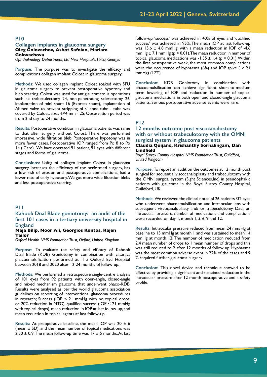#### **Collagen implants in glaucoma surgery Oleg Golovachov, Ashot Safoian, Mariam Golovachova**

*Ophthalmology Department, Ltd New Hospitals, Tbilisi, Georgia*

**Porpuse:** The porpuse was to investigate the efficacy and complications collagen implant Colost in glaucoma surgery.

**Methods:** We used collagen implant Colost soaked with 5FU in glaucoma surgery to prevent postoperative hypotony and bleb scarring. Colost was used for antiglaucomatous operations such as: trabeculectomy 24, non-penetrating sclerectomy 26, implantation of mini shunt 16 (Express shunt), implantation of Ahmed valve to prevent stripping of silicone tube - tube was covered by Colost, sizes 6×4 mm - 25. Observation period was from 2nd day to 24 months.

**Results:** Postoperative condition in glaucoma patients was same to that after surgery without Colost. There was performed impressive, wide filtration bleb. Postoperative hypotony was in more fewer cases. Postoperative IOP ranged from Po 8 to Po 14 (iCare). We have operated 91 patient, 91 eyes with different stages and forms of glaucoma.

**Conclusions:** Using of collagen implant Colost in glaucoma surgery increases the efficiency of the performed surgery, has a low risk of erosion and postoperative complications, had a lower rate of early hypotony. We got more wide filtration blebs and less postoperative scarring.

### **P11**

# **Kahook Dual Blade goniotomy: an audit of the first 101 cases in a tertiary university hospital in England**

## **Maja Bilip, Noor Ali, Georgios Kontos, Rajen Tailor**

*Oxford Health NHS Foundation Trust, Oxford, United Kingdom*

**Purpose:** To evaluate the safety and efficacy of Kahook Dual Blade (KDB) Goniotomy in combination with cataract phacoemulsification performed at The Oxford Eye Hospital between 2018 and 2020 after 12-24 months of follow-up.

**Methods:** We performed a retrospective single-centre analysis of 101 eyes from 92 patients with open-angle, closed-angle and mixed mechanism glaucoma that underwent phaco-KDB. Results were analysed as per the world glaucoma association guidelines on reporting of interventional glaucoma procedures in research; Success (IOP < 21 mmHg with no topical drops, or 20% reduction in NTG), qualified success (IOP < 21 mmHg with topical drops), mean reduction in IOP at last follow-up, and mean reduction in topical agents at last follow-up.

**Results:** At preoperative baseline, the mean IOP was 20 ± 6 (mean  $\pm$  SD), and the mean number of topical medications was 2.50  $\pm$  0.9. The mean follow-up time was 17  $\pm$  5 months. At last follow-up, 'success' was achieved in 40% of eyes and 'qualified success' was achieved in 95%. The mean IOP at last follow-up was 15.6  $\pm$  4.8 mmHg, with a mean reduction in IOP of -4.6 mmHg  $\pm$  7.1 mmHg ( $p$  < 0.01). The mean reduction in number of topical glaucoma medications was -1.35  $\pm$  1.4 (p < 0.01). Within the first postoperative week, the most common complications were the occurrence of hyphaema  $(6%)$  and IOP spike  $( > 24)$ mmHg) (17%).

**Conclusion:** KDB Goniotomy in combination with phacoemulsification can achieve significant short-to-medium term lowering of IOP and reduction in number of topical glaucoma medications in both open and closed-angle glaucoma patients. Serious postoperative adverse events were rare.

## **P12**

**12 months outcome post viscocanalostomy with or without trabeculotomy with the OMNI surgical system in glaucoma patients Claudia Quijano, Krishanthy Sornalingam, Dan Lindfield**

*Royal Surrey County Hospital NHS Foundation Trust, Guildford, United Kingdom*

**Purpose:** To report an audit on the outcomes at 12 month post surgical for sequential viscocanaloplasty and trabeculotomy with the OMNI surgical system (Sight Sciences,Inc) in pseudophakic patients with glaucoma in the Royal Surrey County Hospital, Guildford, UK.

**Methods:** We reviewed the clinical notes of 26 patients /32 eyes who underwent phacoemulsification and intraocular lens with subsequent viscocanaloplasty and/ or trabeculotomy. Data on intraocular pressure, number of medications and complications were recorded on day 1, month 1, 3, 6, 9 and 12.

**Results:** Intraocular pressure reduced from mean 24 mm/Hg at baseline to 15 mmHg at month 1 and was sustained to mean 14 mmHg at month 12. The number of medication reduced from 2.4 mean number of drops to 1 mean number of drops and this was still reduced to 2 after 12 months of follow up. Hyphaema was the most common adverse event in 22% of the cases and 9 % required further glaucoma surgery.

**Conclusion:** This novel device and technique showed to be effective by providing a significant and sustained reduction in the intraocular pressure after 12 month postoperative and a safety profile.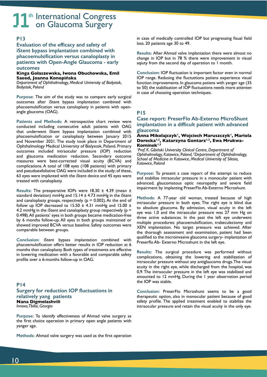# **P13**

**Evaluation of the efficacy and safety of iStent bypass implantation combined with phacoemulsification versus canaloplasty in patients with Open-Angle Glaucoma - early outcomes**

#### **Kinga Gołaszewska, Iwona Obuchowska, Emil Saeed, Joanna Konopińska**

*Department of Ophthalmology, Medical University of Bialystok, Bialystok, Poland*

**Purpose:** The aim of the study was to compare early surgical outcomes after iStent bypass implantation combined with phacoemulsification versus canaloplasty in patients with openangle glaucoma (OAG).

**Patients and Methods:** A retrospective chart review were conducted including consecutive adult patients with OAG that underwent iStent bypass implantation combined with phacoemulsification or canaloplasty between January 2015 and November 2021. The study took place in Department of Ophthalmology Medical University of Bialystok, Poland. Primary outcomes included intraocular pressure (IOP) reduction and glaucoma medication reduction. Secondary outcome measures were best-corrected visual acuity (BCVA) and complications. A total of 108 eyes (108 patients) with primary and pseudoexfoliative OAG were included in the study; of these, 63 eyes were implanted with the iStent device and 45 eyes were treated with canaloplasty.

**Results:** The preoperative IOPs were 18.30 ± 4.39 (mean ± standard deviation) mmHg and  $15.14 \pm 4.73$  mmHg in the iStent and canaloplasty groups, respectively ( $p = 0.002$ ). At the end of follow up IOP decreased to 15.50  $\pm$  4.31 mmHg and 15.00  $\pm$ 4.2 mmHg in the iStent and canaloplasty group respectively ( $p =$ 0.498). All patients' eyes in both groups became medication-free by 6 months follow-up. All eyes in both groups maintained or showed improved BCVA versus baseline. Safety outcomes were comparable between groups.

**Conclusion:** iStent bypass implantation combined with phacoemulsification offers better results in IOP reduction at 6 months than canaloplasty. Both types of treatments are effective in lowering medication with a favorable and comparable safety profile over a 6-months follow-up in OAG.

## **P14**

**Surgery for reduction IOP fluctuations in relatively yang patients Nana Digmelashvili** *Innova, Tbilisi, Georgia*

**Purpose:** To identify effectiveness of Ahmad valve surgery as the first choice operation in primary open angle patients with yanger age.

**Methods:** Ahmad valve surgery was used as the first operation

in case of medically controlled IOP but progressing fisual field loss. 20 patients age 30 to 49.

**Results:** After Ahmad valve implantation there were almost no change in IOP but in 78 % there were improvement in visual aqiuty from the second day of operation to 1 month.

**Conclusion:** IOP fluctuation is important factor even in normal IOP range. Redusing the fluctuttions patiens experience visual function improvements. In glaucoma patiens with yanger age (35 to 50) the stabilisation of IOP fluctuations needs more attenten in case of choosing operation techniques.

## **P15**

## **Case report: PreserFlo Ab-Externo MicroShunt implantation in a difficult patient with advanced glaucoma**

#### **Anna Mikolajczyk1, Wojciech Maruszczyk1, Mariola**  Dorecka<sup>1,2</sup>, Katarzyna Gontarz<sup>1,2</sup>, Ewa Mrukwa-**Kominek1,2**

*1 Prof. K. Gibiński University Clinical Centre, Department of Ophthalmology, Katowice, Poland, 2 Department of Ophthalmology, School of Medicine in Katowice, Medical University of Silesia, Katowice, Poland*

**Purpose:** To present a case report of the attempt to reduce and stabilize intraocular pressure in a monocular patient with advanced, glaucomatous optic neuropathy and severe field impairment by implanting PreserFlo Ab-Externo Microshunt.

**Methods:** A 77-year old woman, treated because of high intraocular pressure in both eyes. The right eye is blind due to absolute glaucoma. By admission, visual acuity in the left eye was 1,0 and the intraocular pressure was 27 mm Hg on three active substances. In the past the left eye underwent multiple procedures: phacoemulsification, trabeculectomy and XEN implantation. No target pressure was achieved. After the thorough assessment and examination, patient had been qualified to the microinvasive glaucoma surgery- implantation of Preserflo Ab- Externo Microshunt in the left eye.

**Results:** The surgical procedure was performed without complications, obtaining the lowering and stabilization of intraocular pressure without any antiglaucoma drugs. The visual acuity in the right eye, while discharged from the hospital, was 0,9. The intraocular pressure in the left eye was stabilized and amounted to 12 mmHg. During the 1 year observation period the IOP was stable.

**Conclusion:** PreserFlo Microshunt seems to be a good therapeutic option, also in monocular patient because of good safety profile. The applied treatment enabled to stabilize the intraocular pressure and retain the visual acuity in the only eye.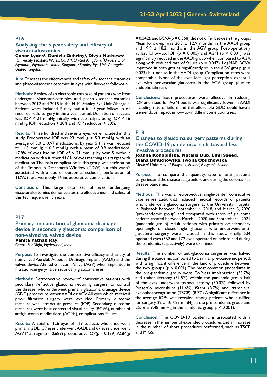#### **Analysing the 5 year safety and efficacy of viscocanalostomies**

**Conor Lyons1, Daniela Oehring2, Divya Mathews3** *1 University Hospital Wales, Cardiff, United Kingdom, 2 University of Plymouth, Plymouth, United Kingdom, 3 Stanley Eye Unit, Abergele, United Kingdom*

**Aim:** To assess the effectiveness and safety of viscocanalostomies and phaco-viscocanalostomies in eyes with five-year follow-up.

**Methods:** Review of an electronic database of patients who have undergone viscocanalostomies and phaco-viscocanalostomies between 2012 and 2015 in the H. M. Stanley Eye Unit, Abergele. Patients were included if they had a full 5-year follow-up or required redo surgery in the 5 year period. Definition of success was IOP < 21 mmHg initially with subanalysis using IOP < 16 mmHg, IOP reduction > 20% and IOP reduction > 30%.

**Results:** Three hundred and seventy eyes were included in this study. Preoperative IOP was 23 mmHg  $\pm$  5.3 mmHg with an average of  $3.0 \pm 0.97$  medications. By year 5 this was reduced to 14.3 mmHg  $\pm$  6.5 mmHg with a mean of 0.9 medications. 47.8% of eyes had an IOP of < 21 mmHg by year 5 without medication with a further 44.8% of eyes reaching this target with medication. The main complication in this group was perforation of the Trabeculo-Descemet's Window (TDW) but this wasn't associated with a poorer outcome. Excluding perforation of TDW, there were only 14 intraoperative complications.

**Conclusion:** This large data set of eyes undergoing viscocanalostomies demonstrates the effectiveness and safety of this technique over 5 years.

#### **P17**

**Primary implantation of glaucoma drainage device in secondary glaucoma: comparison of non-valved vs. valved device Vanita Pathak Ray** *Centre For Sight, Hyderabad, India*

**Purpose:** To investigate the comparative efficacy and safety of non-valved Aurolab Aqueous Drainage Implant (AADI) and the valved device Ahmed Glaucoma Valve (AGV) when implanted in filtration-surgery-naïve secondary glaucoma eyes

**Methods:** Retrospective review of consecutive patients with secondary refractive glaucoma requiring surgery to control the disease, who underwent primary glaucoma drainage device (GDD) procedure, either AADI or AGV. All eyes which received prior filtration surgery were excluded. Primary outcome measure was intraocular pressure (IOP). Secondary outcome measures were best-corrected visual acuity (BCVA), number of antiglaucoma medications (AGMs), complications, failure.

**Results:** A total of 126 eyes of 119 subjects who underwent primary GDD; 59 eyes underwent AADI, and 67 eyes underwent AGV. Mean age ( $p = 0.689$ ) preoperative  $IOP(p = 0.139)$ , AGM( $p$ )

 $= 0.542$ ), and BCVA( $p = 0.368$ ) did not differ between the groups. Mean follow-up was  $20.3 \pm 12.9$  months in the AADI group and 19.9 ± 18.2 months in the AGV group. Post-operatively at last follow-up, IOP ( $p = 0.005$ ) and AGM ( $p < 0.001$ ) was significantly reduced in the AADI group when compared to AGV, along with reduced rate of failure ( $p = 0.047$ ). LogMAR BCVA improved in both groups, significantly so in the AGV group ( $p =$ 0.023) but not so in the AADI group. Complication rates were comparable. None of the eyes lost light perception, except 1 eye with neovascular glaucoma in the AGV group (due to endophthalmitis).

**Conclusions:** Both procedures were effective in reducing IOP and need for AGM but it was significantly lower in AADI including rate of failure and this affordable GDD could have a tremendous impact in low-to-middle income countries.

#### **P18**

#### **Changes to glaucoma surgery patterns during the COVID-19 pandemic:a shift toward less invasive procedures**

**Joanna Konopińska, Natalia Dub, Emil Saeed, Diana Dmuchowska, Iwona Obuchowska** *Medical University of Bialystok, Poland, Białystok, Poland*

**Purpose:** To compare the quantity, type of anti-glaucoma surgeries, and the disease stage before and during the coronavirus disease pandemic.

**Methods:** This was a retrospective, single-center consecutive case series audit that included medical records of patients who underwent glaucoma surgery at the University Hospital in Białystok between September 4, 2018, and March 3, 2020 (pre-pandemic group) and compared with those of glaucoma patients treated between March 4, 2020, and September 4, 2021 (pandemic group). Adult patients with primary or secondary open-angle or closed-angle glaucoma who underwent antiglaucoma surgery were included in this study. Finally, 534 operated eyes (362 and 172 eyes operated on before and during the pandemic, respectively) were examined.

**Results:** The number of anti-glaucoma surgeries was halved during the pandemic compared to a similar pre-pandemic period, with a significant difference in the kind of procedure between the two groups ( $p < 0.001$ ). The most common procedures in the pre-pandemic group were Ex-Press implantation (33.7%) and trabeculectomy (31.5%). Within the pandemic group, half of the eyes underwent trabeculectomy (50.0%), followed by Preserflo microshunt (11.6%), iStent (8.7%) and transcleral cyclophotocoagulation (TSCP), (8.7%). A significant difference in the average IOPs was revealed among patients who qualified for surgery  $22.21 \pm 7.83$  mmHg in the pre-pandemic group and 25.16  $\pm$  9.48 mmHg in the pandemic group;  $p < 0.001$ ).

**Conclusion:** The COVID-19 pandemic is associated with a decrease in the number of extended procedures and an increase in the number of short procedures performed, such as TSCP and MIGS.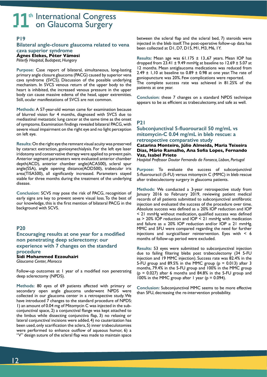## **P19**

**Bilateral angle-closure glaucoma related to vena cava superior syndrome Ágnes Elekes, Péter Vámosi**

*Péterfy Hospital, Budapest, Hungary*

**Purpose:** Case report of bilateral, simultaneous, long-lasting primary angle closure glaucoma (PACG) caused by superior vena cava syndrome (SVCS). Discussion of the possible underlying mechanism. In SVCS venous return of the upper body to the heart is inhibited, the increased venous pressure in the upper body can cause massive edema of the head, upper extremities. Still, ocular manifestations of SVCS are not common.

**Methods:** A 57-year-old woman came for examination because of blurred vision for 4 months, diagnosed with SVCS due to mediastinal metastatic lung cancer at the same time as the onset of symptoms. Examination findings revealed bilateral PACG, with severe visual impairment on the right eye and no light perception on left eye.

**Results:** On the right eye the remnant visual acuity was preserved by cataract extraction, goniosynechialysis. For the left eye laser iridotomy and conservative therapy were applied to prevent pain. Anterior segment parameters were evaluated: anterior chamber depth(ACD), anterior chamber angle(ACA500), scleral spur angle(SSA), angle opening distance(AOD500), trabecular iris area(TISA500), all significantly increased. Parameters stayed stable for three months during the treatment of the underlying disease.

**Conclusion:** SCVS may pose the risk of PACG, recognition of early signs are key to prevent severe visual loss. To the best of our knowledge, this is the first mention of bilateral PACG in the background with SCVS.

# **P20**

**Encouraging results at one year for a modified non penetrating deep sclerectomy: our experience with 7 changes on the standard procedure Sidi Mohammed Ezzouhairi**

*Glaucoma Center, Morocco*

Follow-up outcomes at 1 year of a modified non penetrating deep sclerectomy (NPDS).

**Methods:** 80 eyes of 69 patients affected with primary or secondary open angle glaucoma underwent NPDS were collected in our glaucoma center in a retrospective study. We have introduced 7 changes to the standard procedure of NPDS: 1) an amount of 0.04 mg of Mitomycin C was injected in the subconjunctival space, 2) a conjunctival flange was kept attached to the limbus while dissecting conjunctiva flap, 3) no relaxing or lateral conjunctival incisions were added, 4) no cauterization has been used, only scarification the sclera, 5) inner trabeculotomies were performed to enhance outflow of aqueous humor, 6) a "V" design suture of the scleral flap was made to maintain space

between the scleral flap and the scleral bed, 7) steroids were injected in the bleb itself. The post-operative follow-up data has been collected at D1, D7, D15, M1, M3, M6, 1Y.

**Results:** Mean age was 61.175 ± 13.,67 years. Mean IOP has dropped from 23.41  $\pm$  9.49 mmHg at baseline to 12.69  $\pm$  5.07 at 12 months. Mean antiglaucoma medications was reduced from 2.49  $\pm$  1,10 at baseline to 0.89  $\pm$  0.98 at one year. The rate of goniopuncture was 20%. Few complications were reported. The complete success rate was achieved in 81.25% of the patients at one year.

**Conclusion:** these 7 changes on a standard NPDS technique appears to be as efficient as trabeculectomy, and safe as well.

# **P21**

## **Subconjunctival 5-fluorouracil 50 mg/mL vs mitomycin-C 0.04 mg/mL in bleb rescue: a retrospective comparative study**

**Catarina Monteiro, Júlio Almeida, Maria Teixeira Dias, Mário Ramalho, Ana Sofia Lopes, Fernando Vaz, Isabel Prieto**

*Hospital Professor Doutor Fernando da Fonseca, Lisbon, Portugal*

**Purpose:** To evaluate the success of subconjunctival 5-fluorouracil (5-FU) versus mitomycin C (MMC) in bleb rescue after trabeculectomy surgery in glaucoma patients.

**Methods:** We conducted a 3-year retrospective study from January 2016 to February 2019, reviewing patient medical records of all patients submitted to subconjunctival antifibrotic injection and evaluated the success of the procedure over time. Absolute success was defined as  $\geq$  20% IOP reduction and IOP < 21 mmHg without medication, qualified success was defined as  $> 20\%$  IOP reduction and IOP  $\leq 21$  mmHg with medication and failure as  $\leq$  20% IOP reduction and/or IOP  $\geq$  21 mmHg. MMC and 5FU were compared regarding the need for further injections and surgical/laser reintervention. Eyes with  $\leq 6$ months of follow-up period were excluded.

**Results:** 53 eyes were submitted to subconjunctival injection due to failing filtering blebs post trabeculectomy (34 5-FU injection and 19 MMC injection). Success rate was 82.4% in the 5-FU group and 89.5% in the MMC group ( $p = 0.013$ ) after 3 months, 79.4% in the 5-FU group and 100% in the MMC group  $(p = 0.027)$  after 6 months and 84.8% in the 5-FU group and 100% in the MMC group after 1 year ( $p = 0.094$ ).

**Conclusion:** Subconjunctival MMC seems to be more effective than 5FU, decreasing the re-intervention probability.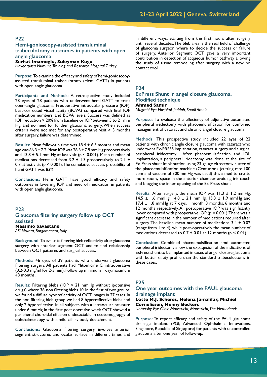## **Hemi-gonioscopy-assisted transluminal trabeculotomy outcomes in patients with open angle glaucoma**

#### **Serhat Imamoglu, Süleyman Kugu**

*Haydarpasa Numune Training and Research Hospital, Turkey*

**Purpose:** To examine the efficacy and safety of hemi-gonioscopyassisted transluminal trabeculotomy (Hemi GATT) in patients with open angle glaucoma.

**Participants and Methods:** A retrospective study included 28 eyes of 28 patients who underwent hemi-GATT to treat open-angle glaucoma. Preoperative intraocular pressure (IOP), best-corrected visual acuity (BCVA) compared with final IOP, medication numbers, and BCVA levels. Success was defined as IOP reduction > 20% from baseline or IOP between 5 to 21 mm Hg, and no need for further glaucoma surgery. When success criteria were not met for any postoperative visit  $> 3$  months after surgery, failure was determined.

**Results:** Mean follow-up time was 18.4 ± 6.5 months and mean age was  $66.3 \pm 7.2$ . Mean IOP was  $28.3 \pm 7.9$  mm Hg preoperatively and  $13.8 \pm 5.1$  mm Hg at last visit ( $p \le 0.001$ ). Mean number of medications decreased from 3.2  $\pm$  1.3 preoperatively to 2.1  $\pm$ 0.7 at last visit (p < 0.001). The cumulative success probability of hemi GATT was 83%.

**Conclusions:** Hemi GATT have good efficacy and safety outcomes in lowering IOP and need of medication in patients with open angle glaucoma.

#### **P23**

# **Glaucoma filtering surgery follow up OCT assisted**

**Massimo Savastano** *ASl Novara, Borgomanero, Italy*

**Background:** To evaluate filtering bleb reflectivity after glaucoma surgery with anterior segment OCT and to find relationship between OCT patterns and surgical success.

**Methods:** 46 eyes of 39 patients who underwent glaucoma filtering surgery. All patients had Mitomicine C intraoperative (0.2-0.3 mg/ml for 2-3 min). Follow up minimum 1 day, maximum 48 months.

**Results:** Filtering blebs (IOP < 21 mmHg without ipotensive drugs) where 36, non filtering blebs 10. In the first of two groups, we found a diffuse hyporeflectivity of OCT images in 27 cases. In the non filtering bleb group we had 8 hyperreflective blebs and only 2 hyporeflective. In all subjects with a intraocular pressure under 6 mmHg in the first post operative week OCT showed a peripheral choroidal effusion undetectable in ecotomograpgy of ophthalmoscopy, with a mild ciliary body detachment.

**Conclusions:** Glaucoma filtering surgery, involves anterior segment structures and ocular surface in different times and in different ways, starting from the first hours after surgery until several decades. The bleb area is the real field of challenge of glaucoma surgeon where to decide the success or failure of surgery. Anterior Segment OCT gave a very important contribution in detection of acqueous humor pathway allowing the study of tissue remodeling after surgery with a new no contact tool.

#### **P24**

#### **ExPress Shunt in angel closure glaucoma. Modified technique Ahmed Samir**

*Magrabi Eye Hospital, Jeddah, Saudi Arabia*

**Purpose:** To evaluate the effeciency of adjunctive automated peripheral iredectomy with phacoemulsification for combined management of cataract and chronic angel closure glaucoma

**Methods:** This prospective study included 22 eyes of 22 patients with chronic angle closure glaucoma with cataract who underwent Ex-PRESS implantation, cataract surgery and surgical peripheral iridectomy. After phacoemulsification and IOL implantation, a peripheral iridectomy was done at the site of Ex-Press shunt implantation using 23-gauge vitrectomy cutter of the phacoemulsification machine (Centurion). (cutting rate 100 cpm and vacuum of 300 mmHg was used) this aimed to create more roomy space in the anterior chamber avoiding iris touch and blogging the inner opening of the Ex-Press shunt

**Results:** After surgery, the mean IOP was 11.3 ± 1.2 mmHg, 14.5  $\pm$  1.6 mmHg, 14.8  $\pm$  2.1 mmHg, 15.3  $\pm$  1.9 mmHg and 17.4  $\pm$  1.8 mmHg at 7 days, 1 month, 3 months, 6 months and 12 months respectively. All postoperative IOP was significantly lower compared with preoperative IOP ( $p = 0.001$ ). There was a significant decrease in the number of medications required after surgery. The baseline mean number of medications  $3.4 \pm 0.02$ (range from 1 to 4), while post-operatively the mean number of medications decreased to  $0.7 \pm 0.01$  at 12 months (p < 0.01).

**Conclusion:** Combined phacoemulsification amd automated peripheral iridectomy allow the expaqnsion of the indications of ExPress shunt to be implanted in cases of angel closure glaucoma with better safety profile than the standerd trabeculectomy in these cases.

#### **P25**

#### **One year outcomes with the PAUL glaucoma drainage implant**

#### **Lotte M.J. Scheres, Helena Jamalifar, Michiel Cornelissen, Henny Beckers**

*University Eye Clinic Maastricht, Maastricht, The Netherlands*

**Purpose:** To report efficacy and safety of the PAUL glaucoma drainage implant (PGI; Advanced Ophthalmic Innovations, Singapore, Republic of Singapore) for patients with uncontrolled glaucoma after one year of follow-up.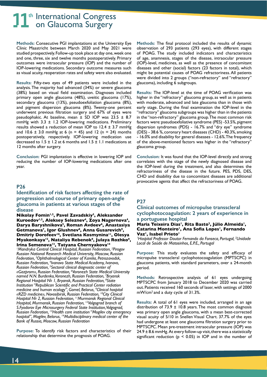**Methods:** Consecutive PGI implantations at the University Eye Clinic Maastricht between March 2020 and May 2021 were studied prospectively. Follow-up took place at day one, week one and one, three, six and twelve months postoperatively. Primary outcomes were intraocular pressure (IOP) and the number of IOP-lowering medications. Secondary outcome measures such as visual acuity, reoperation rates and safety were also evaluated.

**Results:** Fifty-two eyes of 49 patients were included in the analysis. The majority had advanced (34%) or severe glaucoma (38%) based on visual field examination. Diagnoses included primary open angle glaucoma (48%), uveitic glaucoma (17%), secondary glaucoma (13%), pseudoexfoliation glaucoma (8%), and pigment dispersion glaucoma (8%). Twenty-one percent underwent previous filtration surgery and 67% of eyes were pseudophakic. At baseline, mean ± SD IOP was 23.5 ± 8.7 mmHg with  $3.3 \pm 1.2$  IOP-lowering medications. Preliminary results showed a reduction of mean IOP to  $12.4 \pm 3.7$  mmHg and 10.6  $\pm$  3.0 mmHg at 6 (n = 45) and 12 (n = 24) months postoperatively, respectively. IOP-lowering medication use decreased to  $1.5 \pm 1.2$  at 6 months and  $1.5 \pm 1.1$  medications at 12 months after surgery.

**Conclusion:** PGI implantation is effective in lowering IOP and reducing the number of IOP-lowering medications after one year.

## **P26**

**Identification of risk factors affecting the rate of progression and course of primary open-angle glaucoma in patients at various stages of the disease**

**Nikolay Fomin1,2, Pavel Zavadskiy3, Aleksander**  Kuroedov<sup>1,2</sup>, Aleksey Seleznev<sup>4</sup>, Zoya Nagornova<sup>4</sup>, Darya Baryshnikova<sup>5</sup>, Roman Avdeev<sup>6</sup>, Anastasiya Getmanova<sup>7</sup>, Igor Glushnev<sup>8</sup>, Anna Gusarevich<sup>9</sup>, **Dmitriy Dorofeev<sup>10</sup>, Svetlana Kosmynina<sup>11</sup>, Olesya** Myakonkaya<sup>12</sup>, Nataliya Rebenok<sup>8</sup>, Julaya Rozhko<sup>8</sup>, **Irina Semenova13, Tatyana Chernyakova14**

<sup>1</sup> Mandryka Central Clinical Hospital, Russian Federation, <sup>2</sup> Pirogov *Russian National Research Medical University, Moscow, Russian Federation, 3 Ophthalmological Center of Karelia, Petrozavodsk, Russian Federation, 4 Ivanovo State Medical Academy, Ivanovo, Russian Federation, 5 Sectoral clinical diagnostic center of «Gazprom», Russian Federation, 6 Voronezh State Medical University named N.N. Burdenko, Voronezh, Russian Federation, 7 Bryansk Regional Hospital № 1, Bryansk, Russian Federation, <sup>8</sup> State Institution "Republican Scientific and Practical Center radiation medicine and human ecology", Gomel, Belarus, 9 Clinical hospital «RZD medicine», Novosibirsk, Russian Federation, 10City Clinical Hospital № 2, Russian Federation, 11Murmansk Regional Clinical Hospital, Murmansk, Russian Federation, 12Volgograd branch of S.Fyodorov Eye Microsurgery Federal State Institution, Volgograd, Russian Federation, 13Health care institution "Mogilev city emergency hospital", Mogilev, Belarus, 14Multidisciplinary medical center of the Bank of Russia, Moscow, Russian Federation*

**Purpose:** To identify risk factors and characteristics of their relationship that determine the prognosis of POAG.

**Methods:** The final protocol included the results of dynamic observation of 293 patients (293 eyes), with different stages of POAG. The study included indicators and characteristics of age, anamnesis, stages of the disease, intraocular pressure (IOP)-level, medicines, as well as the presence of concomitant diseases and other (social) factors (23 factors in total), which might be potential causes of POAG refractoriness. All patients were divided into 2 groups ("non-refractory" and "refractory" glaucoma), including 6 subgroups.

**Results:** The IOP-level at the time of POAG verification was higher in the "refractory" glaucoma group, as well as in patients with moderate, advanced and late glaucoma than in those with early stage. During the final examination the IOP-level in the "refractory" glaucoma subgroups was higher than in the patients in the "non-refractory" glaucoma group. The most common risk factors were: pseudoexfoliative syndrome (PES) -53.5%, pigment dispersion syndromes (PDS) - 16.7% and "dry eye" syndrome (DES) - 38.6 %, coronary heart diseases (CHD) - 40.3%, smoking - 16.0% and disability for general diseases - 12.6%. The frequency of the above-mentioned factors was higher in the "refractory" glaucoma group.

**Conclusion:** It was found that the IOP-level directly and strong correlates with the stage of the newly diagnosed disease and the IOP-level during the treatment, and also determines the refractoriness of the disease in the future. PES, PDS, DES, CHD and disability due to concomitant diseases are additional provocative agents that affect the refractoriness of POAG.

# **P27**

## **Clinical outcomes of micropulse transscleral cyclophotocoagulation: 2 years of experience in a portuguese hospital**

#### Maria Teixeira Dias<sup>1</sup>, Rita Basto<sup>2</sup>, Júlio Almeida<sup>1</sup>, **Catarina Monteiro1, Ana Sofia Lopes1, Fernando**  Vaz<sup>1</sup>, Isabel Prieto<sup>1</sup>

*1 Hospital Professor Doutor Fernando da Fonseca, Portugal, 2 Unidade Local de Saúde de Matosinhos, E.P.E., Portugal*

**Purpose:** This study evaluates the safety and efficacy of micropulse transscleral cyclophotocoagulation (MPTSCPC) in glaucoma patients, with standard parameters, over a 24-month period.

**Methods:** Retrospective analysis of 61 eyes undergoing MPTSCPC from January 2018 to December 2020 was carried out. Patients received 160 seconds of laser, with settings of 2000 mW/cm2 and a duty cycle of 31.3%.

**Results:** A total of 61 eyes were included, arranged in an age distribution of 73.9  $\pm$  10.8 years. The most common diagnosis was primary open angle glaucoma, with a mean best-corrected visual acuity of 5/10 in Snellen Visual Chart. 37.7% of the eyes had undergone at least one glaucoma filtration surgery prior to MPTSCPC. Mean pre-treatment intraocular pressure (IOP) was  $24.9 \pm 8.6$  mmHg. At every follow-up visit, there was a statistically significant reduction ( $p < 0.05$ ) in IOP and in the number of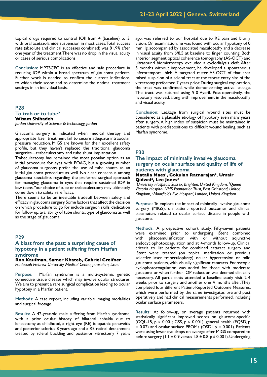topical drugs required to control IOP, from 4 (baseline) to 3, with oral acetazolamide suspension in most cases. Total success rate (absolute and clinical successes combined) was 81.9% after one year of the treatment. There was no drop in the visual acuity or cases of serious complications.

**Conclusion:** MPTSCPC is an effective and safe procedure in reducing IOP within a broad spectrum of glaucoma patients. Further work is needed to confirm the current indications, to widen their scope and to determine the optimal treatment settings in an individual basis.

# **P28 To trab or to tube? Wisam Shihadeh**

*Jordan University of Science & Technology, Jordan*

Glaucoma surgery is indicated when medical therapy and appropriate laser treatment fail to secure adequate intraocular pressure reduction. MIGS are known for their excellent safety profile, but they haven't replaced the traditional glaucoma surgeries—trabeculectomy and tube shunt implantation

Trabeculectomy has remained the most popular option as an initial procedure for eyes with POAG, but a growing number of glaucoma surgeons prefer the use of tube shunts as an initial glaucoma procedure as well. No clear consensus among glaucoma specialists regarding the preferred surgical approach for managing glaucoma in eyes that require sustained IOP in low teens. Your choice of tube or trabeculectomy may ultimately come down to safety vs. efficacy.

There seems to be an inevitable tradeoff between safety and efficacy in glaucoma surgery. Some factors that affect the decision on which procedure to go for include surgeon skills, dedication for follow up, availability of tube shunts, type of glaucoma as well as the stage of glaucoma.

## **P29**

## **A blast from the past: a surprising cause of hypotony in a patient suffering from Marfan syndrome**

**Ron Kaufman, Samer Khateb, Gabriel Greifner** *Hadassah-Hebrew University Medical Center, Jerusalem, Israel*

**Purpose:** Marfan syndrome is a multi-systemic genetic connective tissue disease which may involve ocular structures. We aim to present a rare surgical complication leading to ocular hypotony in a Marfan patient.

**Methods:** A case report, including variable imaging modalities and surgical footage.

**Results:** A 42-year-old male suffering from Marfan syndrome, with a prior ocular history of bilateral aphakia due to lensectomy at childhood, a right eye (RE) idiopathic panuveitis and posterior scleritis 8 years ago and a RE retinal detachment treated by scleral buckling and posterior vitrectomy 7 years

ago, was referred to our hospital due to RE pain and blurry vision. On examination, he was found with ocular hypotony of 0 mmHg, accompanied by associated maculopathy and a decrease in visual acuity from 6/8.5 at baseline to finger counting. Both anterior segment optical coherence tomography (AS-OCT) and ultrasound biomicroscopy excluded a cyclodialysis cleft. After 5 months without improvement, he developed a spontaneous inferotemporal bleb. A targeted raster AS-OCT of that area raised suspicion of a scleral tract at the trocar entry site of the vitrectomy preformed 7 years prior. During surgical exploration, the tract was confirmed, while demonstrating active leakage. The tract was sutured using 9-0 Vycril. Post-operatively, the hypotony resolved, along with improvement in the maculopathy and visual acuity.

**Conclusion:** Leakage from surgical wound sites must be considered as a plausible etiology of hypotony even many years after surgery. A high index of suspicion must be maintained in patients with predispositions to difficult wound healing, such as Marfan syndrome.

## **P30**

## **The impact of minimally invasive glaucoma surgery on ocular surface and quality of life of patients with glaucoma**

#### **Natalia Maes1, Gokulan Ratnarajan2, Umair Qidwai2, Lee Jones3**

*1 University Hospitals Sussex, Brighton, United Kingdom, 2 Queen Victoria Hospital NHS Foundation Trust, East Grinstead, United Kingdom, 3 Moorfields Eye Hospital, London, United Kingdom*

**Purpose:** To explore the impact of minimally invasive glaucoma surgery (MIGS), on patient-reported outcomes and clinical parameters related to ocular surface disease in people with glaucoma.

**Methods:** A prospective cohort study. Fifty-seven patients were examined prior to undergoing iStent combined with phacoemulsification with or without adjunctive endocyclophotocoagulation and at 4-month follow-up. Clinical criteria to list patients for combined cataract surgery and iStent were: treated (on topical medication or previous selective laser trabeculoplasty) ocular hypertension or mild glaucoma patients, with visually significant cataracts. Endoscopic cyclophotocoagulation was added for those with moderate glaucoma or when further IOP reduction was deemed clinically necessary. All participants attended a baseline study visit 2-4 weeks prior to surgery and another one 4 months after. They completed four different Patient-Reported Outcome Measures, which were performed by the same investigator, pre and post operatively and had clinical measurements performed, including ocular surface parameters.

**Results:** At follow-up, on average patients returned with statistically significant improved scores on glaucoma-specific  $(GQL-15, p \le 0.001; GSS, p \le 0.001)$ , general health (EQ5D, p  $= 0.02$ ) and ocular surface PROMs (OSDI,  $p = 0.001$ ). Patients were using fewer eye drops on average after MIGS compared to before surgery (1.1  $\pm$  0.9 versus 1.8  $\pm$  0.8; p  $\leq$  0.001). Undergoing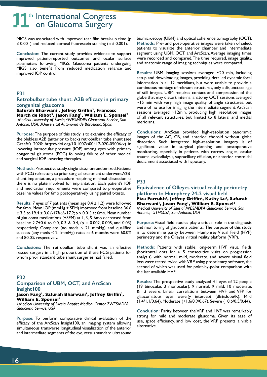MIGS was associated with improved tear film break-up time (p  $\leq$  0.001) and reduced corneal fluorescein staining ( $p \leq 0.001$ ).

**Conclusion:** The current study provides evidence to support improved patient-reported outcomes and ocular surface parameters following MIGS. Glaucoma patients undergoing MIGS also benefit from reduced medication reliance and improved IOP control.

## **P31**

### **Retrobulbar tube shunt: A2B efficacy in primary congenital glaucoma**

**Safurah Bharwani1, Jeffrey Griffin2, Francesc March de Ribot3, Jason Fang1, William E. Sponsel2** *1 Medical University of Silesia, 2 WESMDPA Glaucoma Service, San Antonio, USA, 3Universitat Autonoma de Barcelona, Spain*

**Purpose:** The purpose of this study is to examine the efficacy of the blebless A2B (anterior to back) retrobulbar tube shunt (see Graefe's 2020: https://doi.org/10.1007/s00417-020-05006-x) in lowering intraocular pressure (IOP) among eyes with primary congenital glaucoma (PCG) following failure of other medical and surgical IOP-lowering therapies.

**Methods:** Prospective study, single-site, nonrandomized. Patients with PCG refractory to prior surgical treatment underwent A2Bshunt implantation, a procedure requiring minimal dissection as there is no plate involved for implantation. Each patient's IOP and medication requirements were compared to preoperative baseline values for 6mo postoperatively using paired t-tests.

**Results:** 7 eyes of 7 patients (mean age 8.4 ± 1.2) were followed for 6mo. Mean IOP (mmHg ± SEM) improved from baseline 36.6  $\pm$  3.3 to 19.4  $\pm$  3.6 (-47%;  $\Delta$ -17.2; p < 0.01) at 6mo. Mean number of glaucoma medications (±SEM) at 1, 3, & 6mo decreased from baseline 2.7 $\pm$ 0.6 to 0.0, 0.3 & 0.4, (p = 0.002, 0.005, and 0.03) respectively. Complete (no meds  $\leq$  21 mmHg) and qualified success (any meds < 2 1mmHg) rates at 6 months were 60.0% and 80.0% respectively.

**Conclusions:** The retrobulbar tube shunt was an effective rescue surgery in a high proportion of these PCG patients for whom prior standard tube shunt surgeries had failed.

## **P32**

# **Comparison of UBM, OCT, and ArcScan Insight100**

#### **Jason Fang1, Safurah Bharwani1, Jeffrey Griffin2, William E. Sponsel2**

*1Medical University of Silesia, Baptist Medical Center 2WESMDPA Glaucoma Service, USA*

**Purpose:** To perform comparative clinical evaluation of the efficacy of the ArcScan Insight100, an imaging system allowing simultaneous transverse longitudinal visualization of the anterior and intermediate segments of the eye, versus standard ultrasound biomicroscopy (UBM) and optical coherence tomography (OCT). **Methods:** Pre- and post-operative images were taken of select patients to visualize the anterior chamber and intermediate segment using UBM, OCT, and ArcScan. Average imaging times were recorded and compared. The time required, image quality, and anatomic range of imaging techniques were compared.

**Results:** UBM imaging sessions averaged ~20 min, including setup and downloading images, providing detailed dynamic focal information in all 12 meridians, but were unable to provide a continuous montage of relevant structures, only a disjunct collage of still images. UBM requires contact and compression of the globe that may distort internal anatomy. OCT sessions averaged ~15 min with very high image quality of angle structures, but were of no use for imaging the intermediate segment. ArcScan sessions averaged ~12min, producing high resolution images of all relevant structures, but limited to 8 lateral and medial meridians.

**Conclusions:** ArcScan provided high-resolution panoramic images of the AC, CB, and anterior choroid without globe distortion. Such integrated high-resolution imagery is of significant value in surgical planning and postoperative monitoring, especially in patients with narrow angles, ocular trauma, cyclodialysis, supraciliary effusion, or anterior choroidal detachment associated with hypotony.

# **P33**

**Equivalence of Olleyes virtual reality perimetry platform to Humphrey 24-2 visual field Fiza Farrukh1, Jeffrey Griffin2, Kathy Le3, Safurah**  Bharwani<sup>1</sup>, Jason Fang<sup>1</sup>, William E. Sponsel<sup>2</sup> *Medical University of Silesia1 , WESMDPA Glaucoma Service, San Antonio, 2 UTHSCSA, San Antonio, USA*

**Purpose:** Visual field studies play a critical role in the diagnosis and monitoring of glaucoma patients. The purpose of this study is to determine parity between Humphrey Visual Field (HVF) perimetry and the Olleyes virtual reality platform (VRP).

**Methods:** Patients with stable, long-term HVF visual fields (horizontal dots for  $\geq$  5 consecutive visits on progression analysis) with normal, mild, moderate, and severe visual field loss were tested twice with VRP using proprietary software, the second of which was used for point-by-point comparison with the last available HVF.

**Results:** The prospective study analyzed 41 eyes of 22 people (19 binocular, 3 monocular), 9 normal, 9 mild, 10 moderate, & 13 severe. Linear correlations between HVF and VFP for glaucomatous eyes were:(y intercept (dB)/slope/R): Mild (1.4/1.1/0.64), Moderate (+1.6/0.9/0.67), Severe (+0.6/0.5/0.44).

**Conclusion:** Parity between the VRP and HVF was remarkably strong for mild and moderate glaucoma. Given its ease of use, space efficiency, and low cost, the VRP presents a viable alternative.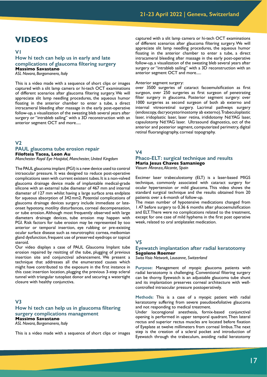# **VIDEOS**

**V1**

# **How hi tech can help us in early and late complications of glaucoma filtering surgery Massimo Savastano**

*ASL Novara, Borgomanero, Italy*

This is a video made with a sequence of short clips or images captured with a slit lamp camera or hi-tech OCT examinations of different scenarios after glaucoma filtering surgery. We will appreciate slit lamp needling procedures, the aqueous humor floating in the anterior chamber to enter a tube, a direct intracameral bleeding after massage in the early post-operative follow-up, a visualization of the sweating bleb several years after surgery or "intrableb sailing" with a 3D reconstruction with an anterior segment OCT and more.....

#### **V2**

#### **PAUL glaucoma tube erosion repair Filofteia Tacea, Leon Au** *Manchester Royal Eye Hospital, Manchester, United Kingdom*

The PAUL glaucoma implant (PGI) is a new device used to control intraocular pressure. It was designed to reduce post-operative complications seen with current existent tubes. It is a non-valved glaucoma drainage device made of implantable medical-grade silicone with an external tube diameter of 467 mm and internal diameter of 127 mm whilst having a large surface area endplate for aqueous absorption of 342mm2. Potential complications of glaucoma drainage devices surgery include immediate or lateonset hypotony, motility disturbances, corneal decompensation, or tube erosion. Although most frequently observed with large diameters drainage devices, tube erosion may happen with PGI. Risk factors for tube erosion may be represented by too anterior or temporal insertion, eye rubbing or pre-existing ocular surface disease such as neurotrophic cornea, meibomian gland dysfunction, frequent use of preserved eyedrops or topical steroid.

Our video displays a case of PAUL Glaucoma Implant tube erosion repaired by resitting of the tube, plugging of previous insertion site and conjunctival advancement. We present a technique that addresses all the enumerated causes which might have contributed to the exposure in the first instance in this case: insertion location, plugging the previous 3-step scleral tunnel with triangular tutoplast donor and securing a watertight closure with healthy conjunctiva.

#### **V3**

**How hi tech can help us in glaucoma filtering surgery complications management Massimo Savastano** *ASL Novara, Borgomanero, Italy*

This is a video made with a sequence of short clips or images

captured with a slit lamp camera or hi-tech OCT examinations of different scenarios after glaucoma filtering surgery. We will appreciate slit lamp needling procedures, the aqueous humor floating in the anterior chamber to enter a tube, a direct intracameral bleeding after massage in the early post-operative follow-up, a visualization of the sweating bleb several years after surgery or "intrableb sailing" with a 3D reconstruction with an anterior segment OCT and more.....

#### Anterior segment surgery:

over 3500 surgeries of cataract facoemulsification as first surgeon, over 250 surgeries as first surgeon of penetrating filter surgery in glaucoma. Posterior segment surgery: over 1000 surgeries as second surgeon of both ab externo and internal vitreoretinal surgery. Lacrimal pathways surgery (endoscopy, dacryocystorinostomy ab externo). Trabeculoplastic laser, iridoplastic laser, laser retina, irididotomy Nd:YAG laser, capsulotomy Nd:YAG laser. Ultrasound diagnostics, oct of the anterior and posterior segment, computerized perimetry, digital retinal fluorangiography, corneal topography.

## **V4**

# **Phaco-ELT: surgical technique and results Maria Jesus Chaves Samaniego**

*Vissum Miranza, Alicante, Spain*

Excimer laser trabeculostomy (ELT) is a laser-based MIGS technique, commonly associated with cataract surgery for ocular hypertension or mild glaucoma. This video shows the standard surgical technique and the results obtained from 20 patients over a 6-month of follow-up.

The mean number of hypotensive medications changed from 1.47 before surgery to 0.36 6 months after phacoemulsification and ELT. There were no complications related to the treatment, except for one case of mild hyphema in the first post operative week, related to oral antiplatelet medication.

#### **V5**

#### **Eyewatch implantation after radial keratotomy Segolene Roemer**

*Swiss Visio Network, Lausanne, Switzerland*

**Purpose:** Management of myopic glaucoma patients with radial keratotomy is challenging. Conventional filtering surgery can be thorny. Eyewatch is an adjustable glaucoma tube shunt and its implantation preserves corneal architecture with wellcontrolled intraocular pressure postoperatively.

**Methods:** This is a case of a myopic patient with radial keratotomy suffering from severe pseudoexfoliative glaucoma and not responding to medical treatment.

Under locoregional anesthesia, fornix-based conjunctival opening is performed in upper temporal quadrant. Then lateral rectus and superior rectus muscles are located before fixation of Eyeplate at twelve millimeters from corneal limbus. The next step is the creation of a scleral pocket and introduction of Eyewatch through the trabeculum, avoiding radial keratotomy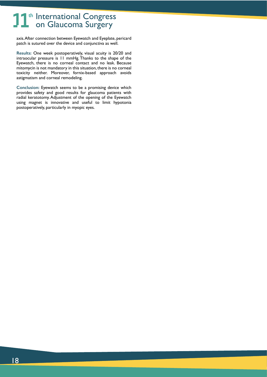axis. After connection between Eyewatch and Eyeplate, pericard patch is sutured over the device and conjunctiva as well.

**Results:** One week postoperatively, visual acuity is 20/20 and intraocular pressure is 11 mmHg. Thanks to the shape of the Eyewatch, there is no corneal contact and no leak. Because mitomycin is not mandatory in this situation, there is no corneal toxicity neither. Moreover, fornix-based approach avoids astigmatism and corneal remodeling.

**Conclusion:** Eyewatch seems to be a promising device which provides safety and good results for glaucoma patients with radial keratotomy. Adjustment of the opening of the Eyewatch using magnet is innovative and useful to limit hypotonia postoperatively, particularly in myopic eyes.